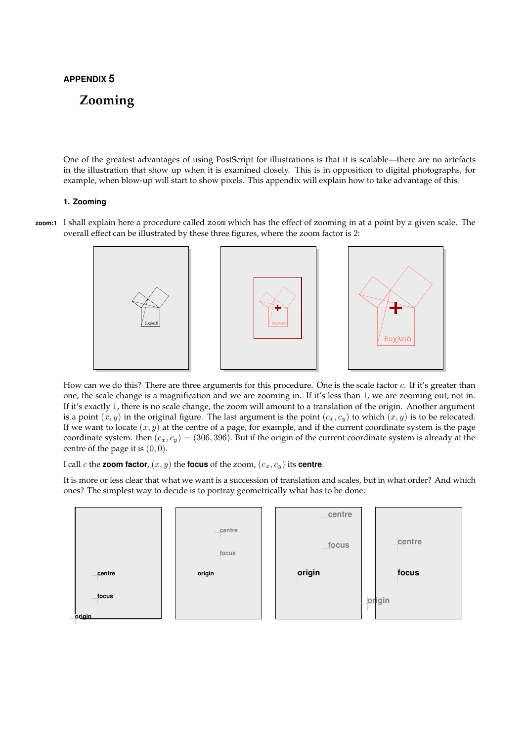# APPENDIX 5

# Zooming

One of the greatest advantages of using PostScript for illustrations is that it is scalable—there are no artefacts in the illustration that show up when it is examined closely. This is in opposition to digital photographs, for example, when blow-up will start to show pixels. This appendix will explain how to take advantage of this.

#### 1. Zooming

zoom:1 I shall explain here a procedure called zoom which has the effect of zooming in at a point by a given scale. The overall effect can be illustrated by these three figures, where the zoom factor is 2:



How can we do this? There are three arguments for this procedure. One is the scale factor c. If it's greater than one, the scale change is a magnification and we are zooming in. If it's less than 1, we are zooming out, not in. If it's exactly 1, there is no scale change, the zoom will amount to a translation of the origin. Another argument is a point  $(x, y)$  in the original figure. The last argument is the point  $(c_x, c_y)$  to which  $(x, y)$  is to be relocated. If we want to locate  $(x, y)$  at the centre of a page, for example, and if the current coordinate system is the page coordinate system. then  $(c_x, c_y) = (306, 396)$ . But if the origin of the current coordinate system is already at the centre of the page it is  $(0, 0)$ .

I call c the zoom factor,  $(x, y)$  the focus of the zoom,  $(c_x, c_y)$  its centre.

It is more or less clear that what we want is a succession of translation and scales, but in what order? And which ones? The simplest way to decide is to portray geometrically what has to be done:

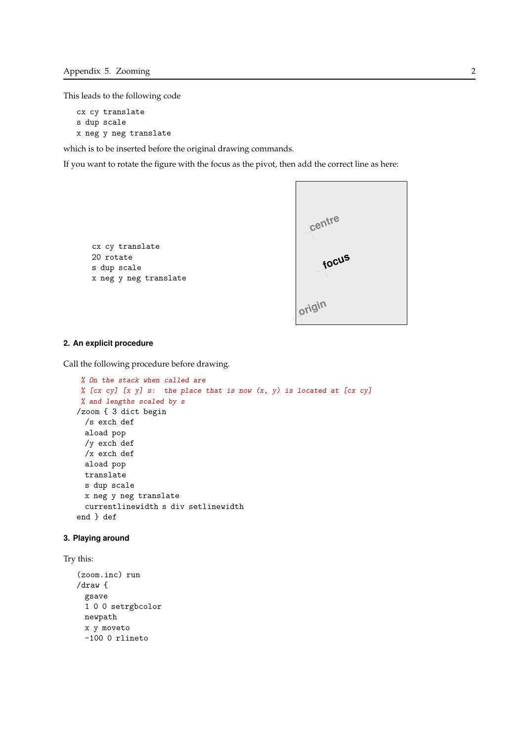This leads to the following code

```
cx cy translate
s dup scale
x neg y neg translate
```
which is to be inserted before the original drawing commands.

If you want to rotate the figure with the focus as the pivot, then add the correct line as here:

```
cx cy translate
20 rotate
s dup scale
x neg y neg translate
```


## 2. An explicit procedure

Call the following procedure before drawing.

```
% On the stack when called are
% [cx cy] [x \ y] s: the place that is now (x, y) is located at [cx cy]
% and lengths scaled by s
/zoom { 3 dict begin
 /s exch def
 aload pop
 /y exch def
 /x exch def
 aload pop
 translate
 s dup scale
 x neg y neg translate
 currentlinewidth s div setlinewidth
end } def
```
#### 3. Playing around

```
Try this:
```

```
(zoom.inc) run
/draw {
 gsave
 1 0 0 setrgbcolor
 newpath
 x y moveto
 -100 0 rlineto
```